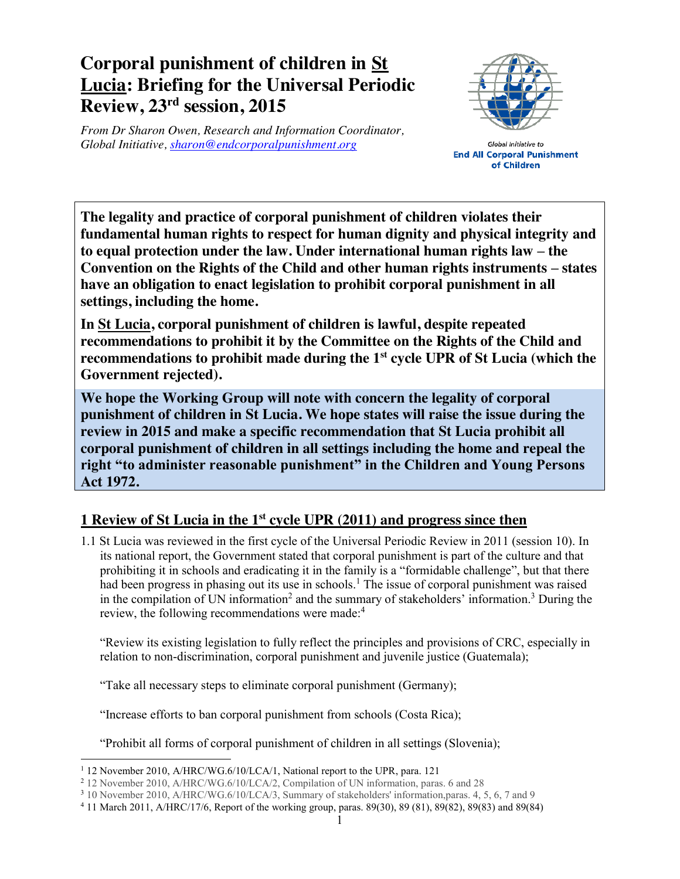## **Corporal punishment of children in St Lucia: Briefing for the Universal Periodic Review, 23rd session, 2015**

*From Dr Sharon Owen, Research and Information Coordinator, Global Initiative, sharon@endcorporalpunishment.org*



Global Initiative to **End All Corporal Punishment** of Children

**The legality and practice of corporal punishment of children violates their fundamental human rights to respect for human dignity and physical integrity and to equal protection under the law. Under international human rights law – the Convention on the Rights of the Child and other human rights instruments – states have an obligation to enact legislation to prohibit corporal punishment in all settings, including the home.**

**In St Lucia, corporal punishment of children is lawful, despite repeated recommendations to prohibit it by the Committee on the Rights of the Child and recommendations to prohibit made during the 1st cycle UPR of St Lucia (which the Government rejected).**

**We hope the Working Group will note with concern the legality of corporal punishment of children in St Lucia. We hope states will raise the issue during the review in 2015 and make a specific recommendation that St Lucia prohibit all corporal punishment of children in all settings including the home and repeal the right "to administer reasonable punishment" in the Children and Young Persons Act 1972.**

## **1 Review of St Lucia in the 1st cycle UPR (2011) and progress since then**

1.1 St Lucia was reviewed in the first cycle of the Universal Periodic Review in 2011 (session 10). In its national report, the Government stated that corporal punishment is part of the culture and that prohibiting it in schools and eradicating it in the family is a "formidable challenge", but that there had been progress in phasing out its use in schools.<sup>1</sup> The issue of corporal punishment was raised in the compilation of UN information<sup>2</sup> and the summary of stakeholders' information.<sup>3</sup> During the review, the following recommendations were made:<sup>4</sup>

"Review its existing legislation to fully reflect the principles and provisions of CRC, especially in relation to non-discrimination, corporal punishment and juvenile justice (Guatemala);

"Take all necessary steps to eliminate corporal punishment (Germany);

"Increase efforts to ban corporal punishment from schools (Costa Rica);

"Prohibit all forms of corporal punishment of children in all settings (Slovenia);

 <sup>1</sup> 12 November 2010, A/HRC/WG.6/10/LCA/1, National report to the UPR, para. 121

<sup>2</sup> 12 November 2010, A/HRC/WG.6/10/LCA/2, Compilation of UN information, paras. 6 and 28

<sup>3</sup> 10 November 2010, A/HRC/WG.6/10/LCA/3, Summary of stakeholders' information,paras. 4, 5, 6, 7 and 9

<sup>4</sup> 11 March 2011, A/HRC/17/6, Report of the working group, paras. 89(30), 89 (81), 89(82), 89(83) and 89(84)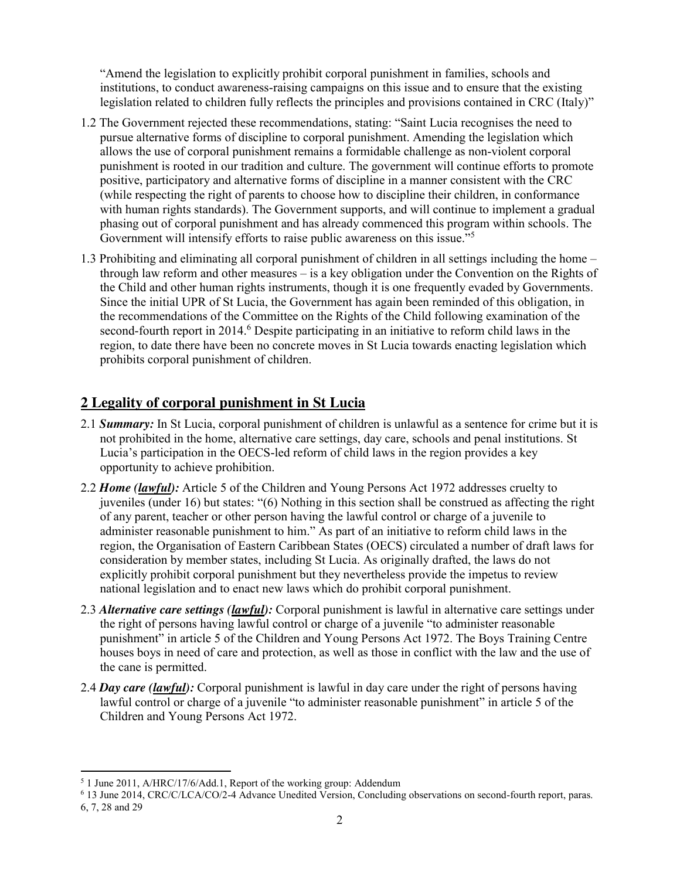"Amend the legislation to explicitly prohibit corporal punishment in families, schools and institutions, to conduct awareness-raising campaigns on this issue and to ensure that the existing legislation related to children fully reflects the principles and provisions contained in CRC (Italy)"

- 1.2 The Government rejected these recommendations, stating: "Saint Lucia recognises the need to pursue alternative forms of discipline to corporal punishment. Amending the legislation which allows the use of corporal punishment remains a formidable challenge as non-violent corporal punishment is rooted in our tradition and culture. The government will continue efforts to promote positive, participatory and alternative forms of discipline in a manner consistent with the CRC (while respecting the right of parents to choose how to discipline their children, in conformance with human rights standards). The Government supports, and will continue to implement a gradual phasing out of corporal punishment and has already commenced this program within schools. The Government will intensify efforts to raise public awareness on this issue.<sup>"5</sup>
- 1.3 Prohibiting and eliminating all corporal punishment of children in all settings including the home through law reform and other measures – is a key obligation under the Convention on the Rights of the Child and other human rights instruments, though it is one frequently evaded by Governments. Since the initial UPR of St Lucia, the Government has again been reminded of this obligation, in the recommendations of the Committee on the Rights of the Child following examination of the second-fourth report in 2014.<sup>6</sup> Despite participating in an initiative to reform child laws in the region, to date there have been no concrete moves in St Lucia towards enacting legislation which prohibits corporal punishment of children.

## **2 Legality of corporal punishment in St Lucia**

- 2.1 *Summary:* In St Lucia, corporal punishment of children is unlawful as a sentence for crime but it is not prohibited in the home, alternative care settings, day care, schools and penal institutions. St Lucia's participation in the OECS-led reform of child laws in the region provides a key opportunity to achieve prohibition.
- 2.2 *Home (lawful):* Article 5 of the Children and Young Persons Act 1972 addresses cruelty to juveniles (under 16) but states: "(6) Nothing in this section shall be construed as affecting the right of any parent, teacher or other person having the lawful control or charge of a juvenile to administer reasonable punishment to him." As part of an initiative to reform child laws in the region, the Organisation of Eastern Caribbean States (OECS) circulated a number of draft laws for consideration by member states, including St Lucia. As originally drafted, the laws do not explicitly prohibit corporal punishment but they nevertheless provide the impetus to review national legislation and to enact new laws which do prohibit corporal punishment.
- 2.3 *Alternative care settings (lawful):* Corporal punishment is lawful in alternative care settings under the right of persons having lawful control or charge of a juvenile "to administer reasonable punishment" in article 5 of the Children and Young Persons Act 1972. The Boys Training Centre houses boys in need of care and protection, as well as those in conflict with the law and the use of the cane is permitted.
- 2.4 *Day care (lawful):* Corporal punishment is lawful in day care under the right of persons having lawful control or charge of a juvenile "to administer reasonable punishment" in article 5 of the Children and Young Persons Act 1972.

 <sup>5</sup> 1 June 2011, A/HRC/17/6/Add.1, Report of the working group: Addendum

<sup>6</sup> 13 June 2014, CRC/C/LCA/CO/2-4 Advance Unedited Version, Concluding observations on second-fourth report, paras. 6, 7, 28 and 29